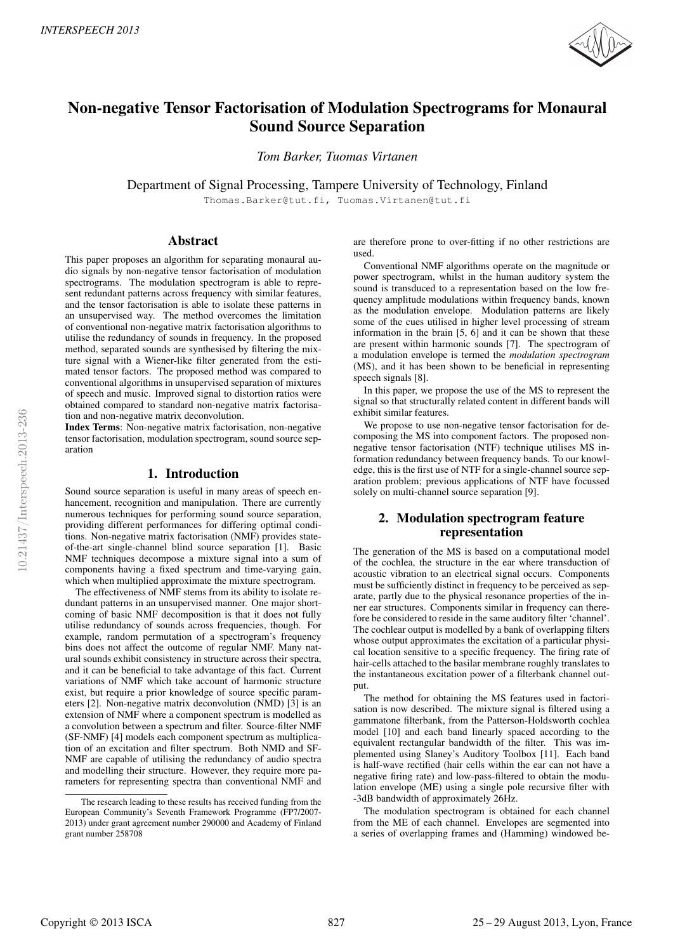

# Non-negative Tensor Factorisation of Modulation Spectrograms for Monaural Sound Source Separation

*Tom Barker, Tuomas Virtanen*

Department of Signal Processing, Tampere University of Technology, Finland

Thomas.Barker@tut.fi, Tuomas.Virtanen@tut.fi

# Abstract

This paper proposes an algorithm for separating monaural audio signals by non-negative tensor factorisation of modulation spectrograms. The modulation spectrogram is able to represent redundant patterns across frequency with similar features, and the tensor factorisation is able to isolate these patterns in an unsupervised way. The method overcomes the limitation of conventional non-negative matrix factorisation algorithms to utilise the redundancy of sounds in frequency. In the proposed method, separated sounds are synthesised by filtering the mixture signal with a Wiener-like filter generated from the estimated tensor factors. The proposed method was compared to conventional algorithms in unsupervised separation of mixtures of speech and music. Improved signal to distortion ratios were obtained compared to standard non-negative matrix factorisation and non-negative matrix deconvolution.

Index Terms: Non-negative matrix factorisation, non-negative tensor factorisation, modulation spectrogram, sound source separation

# 1. Introduction

Sound source separation is useful in many areas of speech enhancement, recognition and manipulation. There are currently numerous techniques for performing sound source separation, providing different performances for differing optimal conditions. Non-negative matrix factorisation (NMF) provides stateof-the-art single-channel blind source separation [1]. Basic NMF techniques decompose a mixture signal into a sum of components having a fixed spectrum and time-varying gain, which when multiplied approximate the mixture spectrogram.

The effectiveness of NMF stems from its ability to isolate redundant patterns in an unsupervised manner. One major shortcoming of basic NMF decomposition is that it does not fully utilise redundancy of sounds across frequencies, though. For example, random permutation of a spectrogram's frequency bins does not affect the outcome of regular NMF. Many natural sounds exhibit consistency in structure across their spectra, and it can be beneficial to take advantage of this fact. Current variations of NMF which take account of harmonic structure exist, but require a prior knowledge of source specific parameters [2]. Non-negative matrix deconvolution (NMD) [3] is an extension of NMF where a component spectrum is modelled as a convolution between a spectrum and filter. Source-filter NMF (SF-NMF) [4] models each component spectrum as multiplication of an excitation and filter spectrum. Both NMD and SF-NMF are capable of utilising the redundancy of audio spectra and modelling their structure. However, they require more parameters for representing spectra than conventional NMF and are therefore prone to over-fitting if no other restrictions are used.

Conventional NMF algorithms operate on the magnitude or power spectrogram, whilst in the human auditory system the sound is transduced to a representation based on the low frequency amplitude modulations within frequency bands, known as the modulation envelope. Modulation patterns are likely some of the cues utilised in higher level processing of stream information in the brain [5, 6] and it can be shown that these are present within harmonic sounds [7]. The spectrogram of a modulation envelope is termed the *modulation spectrogram* (MS), and it has been shown to be beneficial in representing speech signals [8].

In this paper, we propose the use of the MS to represent the signal so that structurally related content in different bands will exhibit similar features.

We propose to use non-negative tensor factorisation for decomposing the MS into component factors. The proposed nonnegative tensor factorisation (NTF) technique utilises MS information redundancy between frequency bands. To our knowledge, this is the first use of NTF for a single-channel source separation problem; previous applications of NTF have focussed solely on multi-channel source separation [9].

# 2. Modulation spectrogram feature representation

The generation of the MS is based on a computational model of the cochlea, the structure in the ear where transduction of acoustic vibration to an electrical signal occurs. Components must be sufficiently distinct in frequency to be perceived as separate, partly due to the physical resonance properties of the inner ear structures. Components similar in frequency can therefore be considered to reside in the same auditory filter 'channel'. The cochlear output is modelled by a bank of overlapping filters whose output approximates the excitation of a particular physical location sensitive to a specific frequency. The firing rate of hair-cells attached to the basilar membrane roughly translates to the instantaneous excitation power of a filterbank channel output.

The method for obtaining the MS features used in factorisation is now described. The mixture signal is filtered using a gammatone filterbank, from the Patterson-Holdsworth cochlea model [10] and each band linearly spaced according to the equivalent rectangular bandwidth of the filter. This was implemented using Slaney's Auditory Toolbox [11]. Each band is half-wave rectified (hair cells within the ear can not have a negative firing rate) and low-pass-filtered to obtain the modulation envelope (ME) using a single pole recursive filter with -3dB bandwidth of approximately 26Hz.

The modulation spectrogram is obtained for each channel from the ME of each channel. Envelopes are segmented into a series of overlapping frames and (Hamming) windowed be-

The research leading to these results has received funding from the European Community's Seventh Framework Programme (FP7/2007- 2013) under grant agreement number 290000 and Academy of Finland grant number 258708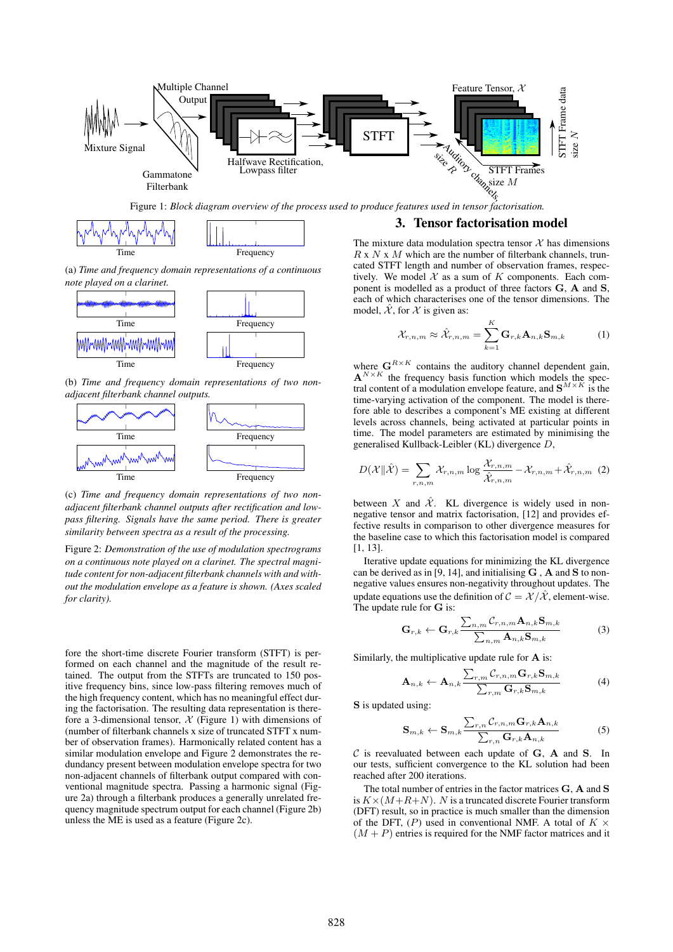

Figure 1: *Block diagram overview of the process used to produce features used in tensor factorisation.*



(a) *Time and frequency domain representations of a continuous note played on a clarinet.*



(b) *Time and frequency domain representations of two nonadjacent filterbank channel outputs.*



(c) *Time and frequency domain representations of two nonadjacent filterbank channel outputs after rectification and lowpass filtering. Signals have the same period. There is greater similarity between spectra as a result of the processing.*

Figure 2: *Demonstration of the use of modulation spectrograms on a continuous note played on a clarinet. The spectral magnitude content for non-adjacent filterbank channels with and without the modulation envelope as a feature is shown. (Axes scaled for clarity).*

fore the short-time discrete Fourier transform (STFT) is performed on each channel and the magnitude of the result retained. The output from the STFTs are truncated to 150 positive frequency bins, since low-pass filtering removes much of the high frequency content, which has no meaningful effect during the factorisation. The resulting data representation is therefore a 3-dimensional tensor,  $\mathcal X$  (Figure 1) with dimensions of (number of filterbank channels x size of truncated STFT x number of observation frames). Harmonically related content has a similar modulation envelope and Figure 2 demonstrates the redundancy present between modulation envelope spectra for two non-adjacent channels of filterbank output compared with conventional magnitude spectra. Passing a harmonic signal (Figure 2a) through a filterbank produces a generally unrelated frequency magnitude spectrum output for each channel (Figure 2b) unless the ME is used as a feature (Figure 2c).

### 3. Tensor factorisation model

The mixture data modulation spectra tensor  $X$  has dimensions  $R \times N \times M$  which are the number of filterbank channels, truncated STFT length and number of observation frames, respectively. We model  $X$  as a sum of  $K$  components. Each component is modelled as a product of three factors G, A and S, each of which characterises one of the tensor dimensions. The model,  $\hat{\mathcal{X}}$ , for  $\mathcal{X}$  is given as:

$$
\mathcal{X}_{r,n,m} \approx \hat{\mathcal{X}}_{r,n,m} = \sum_{k=1}^{K} \mathbf{G}_{r,k} \mathbf{A}_{n,k} \mathbf{S}_{m,k} \tag{1}
$$

where  $\mathbf{G}^{R \times K}$  contains the auditory channel dependent gain,  $A^{N \times K}$  the frequency basis function which models the spectral content of a modulation envelope feature, and  $S^{M \times K}$  is the time-varying activation of the component. The model is therefore able to describes a component's ME existing at different levels across channels, being activated at particular points in time. The model parameters are estimated by minimising the generalised Kullback-Leibler (KL) divergence D,

$$
D(\mathcal{X}||\hat{\mathcal{X}}) = \sum_{r,n,m} \mathcal{X}_{r,n,m} \log \frac{\mathcal{X}_{r,n,m}}{\hat{\mathcal{X}}_{r,n,m}} - \mathcal{X}_{r,n,m} + \hat{\mathcal{X}}_{r,n,m}
$$
(2)

between X and  $\hat{\mathcal{X}}$ . KL divergence is widely used in nonnegative tensor and matrix factorisation, [12] and provides effective results in comparison to other divergence measures for the baseline case to which this factorisation model is compared [1, 13].

Iterative update equations for minimizing the KL divergence can be derived as in [9, 14], and initialising  $G$ ,  $A$  and  $S$  to nonnegative values ensures non-negativity throughout updates. The update equations use the definition of  $C = \mathcal{X}/\mathcal{X}$ , element-wise. The update rule for G is:

$$
\mathbf{G}_{r,k} \leftarrow \mathbf{G}_{r,k} \frac{\sum_{n,m} C_{r,n,m} \mathbf{A}_{n,k} \mathbf{S}_{m,k}}{\sum_{n,m} \mathbf{A}_{n,k} \mathbf{S}_{m,k}}
$$
(3)

Similarly, the multiplicative update rule for A is:

$$
\mathbf{A}_{n,k} \leftarrow \mathbf{A}_{n,k} \frac{\sum_{r,m} C_{r,n,m} \mathbf{G}_{r,k} \mathbf{S}_{m,k}}{\sum_{r,m} \mathbf{G}_{r,k} \mathbf{S}_{m,k}}
$$
(4)

S is updated using:

$$
\mathbf{S}_{m,k} \leftarrow \mathbf{S}_{m,k} \frac{\sum_{r,n} C_{r,n,m} \mathbf{G}_{r,k} \mathbf{A}_{n,k}}{\sum_{r,n} \mathbf{G}_{r,k} \mathbf{A}_{n,k}}
$$
(5)

 $C$  is reevaluated between each update of  $G$ ,  $A$  and  $S$ . In our tests, sufficient convergence to the KL solution had been reached after 200 iterations.

The total number of entries in the factor matrices G, A and S is  $K \times (M+R+N)$ . N is a truncated discrete Fourier transform (DFT) result, so in practice is much smaller than the dimension of the DFT,  $(P)$  used in conventional NMF. A total of  $K \times$  $(M + P)$  entries is required for the NMF factor matrices and it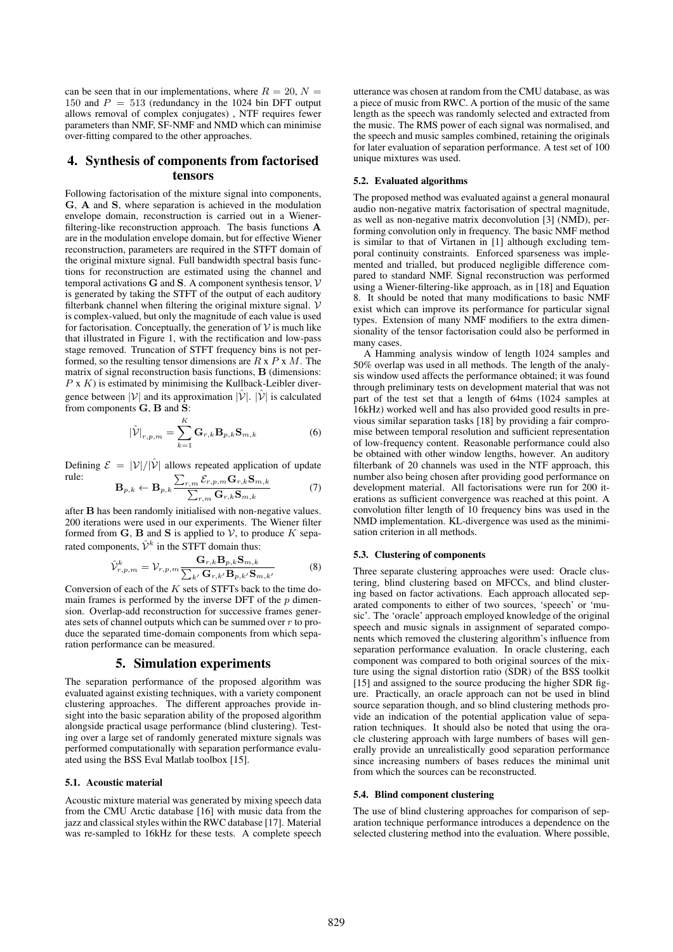can be seen that in our implementations, where  $R = 20$ ,  $N =$ 150 and  $P = 513$  (redundancy in the 1024 bin DFT output allows removal of complex conjugates) , NTF requires fewer parameters than NMF, SF-NMF and NMD which can minimise over-fitting compared to the other approaches.

# 4. Synthesis of components from factorised tensors

Following factorisation of the mixture signal into components, G, A and S, where separation is achieved in the modulation envelope domain, reconstruction is carried out in a Wienerfiltering-like reconstruction approach. The basis functions A are in the modulation envelope domain, but for effective Wiener reconstruction, parameters are required in the STFT domain of the original mixture signal. Full bandwidth spectral basis functions for reconstruction are estimated using the channel and temporal activations  $G$  and  $S$ . A component synthesis tensor,  $V$ is generated by taking the STFT of the output of each auditory filterbank channel when filtering the original mixture signal.  $\mathcal V$ is complex-valued, but only the magnitude of each value is used for factorisation. Conceptually, the generation of  $V$  is much like that illustrated in Figure 1, with the rectification and low-pass stage removed. Truncation of STFT frequency bins is not performed, so the resulting tensor dimensions are  $R \times P \times M$ . The matrix of signal reconstruction basis functions, B (dimensions:  $P$  x  $K$ ) is estimated by minimising the Kullback-Leibler divergence between  $|V|$  and its approximation  $|\hat{V}|$ .  $|\hat{V}|$  is calculated from components G, B and S:

$$
|\hat{\mathcal{V}}|_{r,p,m} = \sum_{k=1}^{K} \mathbf{G}_{r,k} \mathbf{B}_{p,k} \mathbf{S}_{m,k}
$$
 (6)

Defining  $\mathcal{E} = |\mathcal{V}|/|\hat{\mathcal{V}}|$  allows repeated application of update rule:  $\sum$  $\overrightarrow{c}$   $\overrightarrow{c}$   $\overrightarrow{s}$ 

$$
\mathbf{B}_{p,k} \leftarrow \mathbf{B}_{p,k} \frac{\sum_{r,m} \mathcal{E}_{r,p,m} \mathbf{G}_{r,k} \mathbf{S}_{m,k}}{\sum_{r,m} \mathbf{G}_{r,k} \mathbf{S}_{m,k}}
$$
(7)

after B has been randomly initialised with non-negative values. 200 iterations were used in our experiments. The Wiener filter formed from  $G$ ,  $B$  and  $S$  is applied to  $V$ , to produce  $K$  separated components,  $\hat{\mathcal{V}}^k$  in the STFT domain thus:

$$
\hat{\mathcal{V}}_{r,p,m}^{k} = \mathcal{V}_{r,p,m} \frac{\mathbf{G}_{r,k} \mathbf{B}_{p,k} \mathbf{S}_{m,k}}{\sum_{k'} \mathbf{G}_{r,k'} \mathbf{B}_{p,k'} \mathbf{S}_{m,k'}}
$$
(8)

Conversion of each of the  $K$  sets of STFTs back to the time domain frames is performed by the inverse DFT of the  $p$  dimension. Overlap-add reconstruction for successive frames generates sets of channel outputs which can be summed over r to produce the separated time-domain components from which separation performance can be measured.

# 5. Simulation experiments

The separation performance of the proposed algorithm was evaluated against existing techniques, with a variety component clustering approaches. The different approaches provide insight into the basic separation ability of the proposed algorithm alongside practical usage performance (blind clustering). Testing over a large set of randomly generated mixture signals was performed computationally with separation performance evaluated using the BSS Eval Matlab toolbox [15].

#### 5.1. Acoustic material

Acoustic mixture material was generated by mixing speech data from the CMU Arctic database [16] with music data from the jazz and classical styles within the RWC database [17]. Material was re-sampled to 16kHz for these tests. A complete speech utterance was chosen at random from the CMU database, as was a piece of music from RWC. A portion of the music of the same length as the speech was randomly selected and extracted from the music. The RMS power of each signal was normalised, and the speech and music samples combined, retaining the originals for later evaluation of separation performance. A test set of 100 unique mixtures was used.

#### 5.2. Evaluated algorithms

The proposed method was evaluated against a general monaural audio non-negative matrix factorisation of spectral magnitude, as well as non-negative matrix deconvolution [3] (NMD), performing convolution only in frequency. The basic NMF method is similar to that of Virtanen in [1] although excluding temporal continuity constraints. Enforced sparseness was implemented and trialled, but produced negligible difference compared to standard NMF. Signal reconstruction was performed using a Wiener-filtering-like approach, as in [18] and Equation 8. It should be noted that many modifications to basic NMF exist which can improve its performance for particular signal types. Extension of many NMF modifiers to the extra dimensionality of the tensor factorisation could also be performed in many cases.

A Hamming analysis window of length 1024 samples and 50% overlap was used in all methods. The length of the analysis window used affects the performance obtained; it was found through preliminary tests on development material that was not part of the test set that a length of 64ms (1024 samples at 16kHz) worked well and has also provided good results in previous similar separation tasks [18] by providing a fair compromise between temporal resolution and sufficient representation of low-frequency content. Reasonable performance could also be obtained with other window lengths, however. An auditory filterbank of 20 channels was used in the NTF approach, this number also being chosen after providing good performance on development material. All factorisations were run for 200 iterations as sufficient convergence was reached at this point. A convolution filter length of 10 frequency bins was used in the NMD implementation. KL-divergence was used as the minimisation criterion in all methods.

#### 5.3. Clustering of components

Three separate clustering approaches were used: Oracle clustering, blind clustering based on MFCCs, and blind clustering based on factor activations. Each approach allocated separated components to either of two sources, 'speech' or 'music'. The 'oracle' approach employed knowledge of the original speech and music signals in assignment of separated components which removed the clustering algorithm's influence from separation performance evaluation. In oracle clustering, each component was compared to both original sources of the mixture using the signal distortion ratio (SDR) of the BSS toolkit [15] and assigned to the source producing the higher SDR figure. Practically, an oracle approach can not be used in blind source separation though, and so blind clustering methods provide an indication of the potential application value of separation techniques. It should also be noted that using the oracle clustering approach with large numbers of bases will generally provide an unrealistically good separation performance since increasing numbers of bases reduces the minimal unit from which the sources can be reconstructed.

#### 5.4. Blind component clustering

The use of blind clustering approaches for comparison of separation technique performance introduces a dependence on the selected clustering method into the evaluation. Where possible,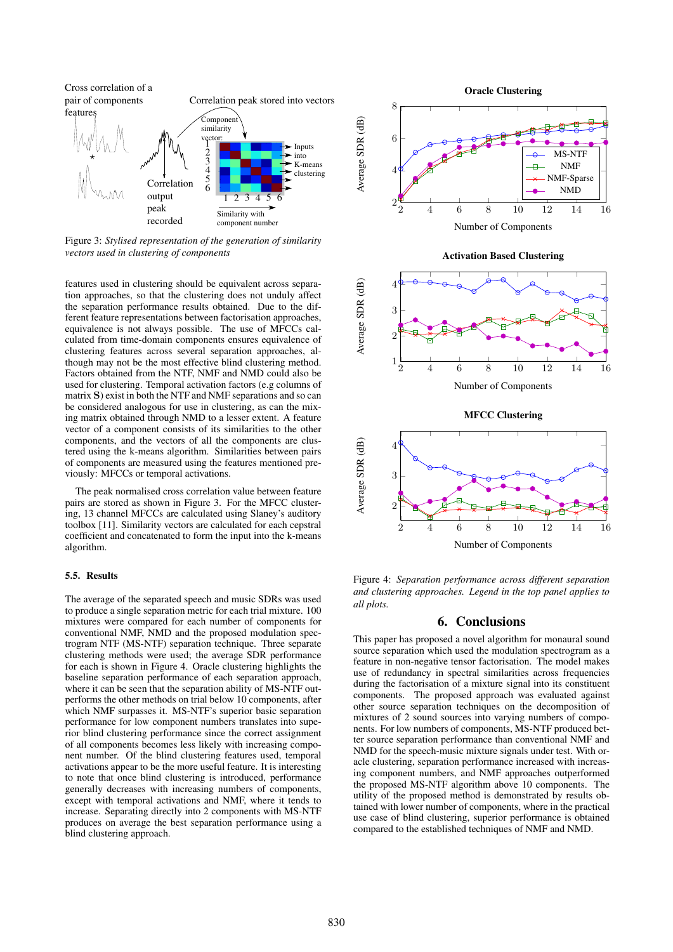

Figure 3: *Stylised representation of the generation of similarity vectors used in clustering of components*

features used in clustering should be equivalent across separation approaches, so that the clustering does not unduly affect the separation performance results obtained. Due to the different feature representations between factorisation approaches, equivalence is not always possible. The use of MFCCs calculated from time-domain components ensures equivalence of clustering features across several separation approaches, although may not be the most effective blind clustering method. Factors obtained from the NTF, NMF and NMD could also be used for clustering. Temporal activation factors (e.g columns of matrix S) exist in both the NTF and NMF separations and so can be considered analogous for use in clustering, as can the mixing matrix obtained through NMD to a lesser extent. A feature vector of a component consists of its similarities to the other components, and the vectors of all the components are clustered using the k-means algorithm. Similarities between pairs of components are measured using the features mentioned previously: MFCCs or temporal activations.

The peak normalised cross correlation value between feature pairs are stored as shown in Figure 3. For the MFCC clustering, 13 channel MFCCs are calculated using Slaney's auditory toolbox [11]. Similarity vectors are calculated for each cepstral coefficient and concatenated to form the input into the k-means algorithm.

### 5.5. Results

The average of the separated speech and music SDRs was used to produce a single separation metric for each trial mixture. 100 mixtures were compared for each number of components for conventional NMF, NMD and the proposed modulation spectrogram NTF (MS-NTF) separation technique. Three separate clustering methods were used; the average SDR performance for each is shown in Figure 4. Oracle clustering highlights the baseline separation performance of each separation approach, where it can be seen that the separation ability of MS-NTF outperforms the other methods on trial below 10 components, after which NMF surpasses it. MS-NTF's superior basic separation performance for low component numbers translates into superior blind clustering performance since the correct assignment of all components becomes less likely with increasing component number. Of the blind clustering features used, temporal activations appear to be the more useful feature. It is interesting to note that once blind clustering is introduced, performance generally decreases with increasing numbers of components, except with temporal activations and NMF, where it tends to increase. Separating directly into 2 components with MS-NTF produces on average the best separation performance using a blind clustering approach.



Figure 4: *Separation performance across different separation and clustering approaches. Legend in the top panel applies to all plots.*

### 6. Conclusions

This paper has proposed a novel algorithm for monaural sound source separation which used the modulation spectrogram as a feature in non-negative tensor factorisation. The model makes use of redundancy in spectral similarities across frequencies during the factorisation of a mixture signal into its constituent components. The proposed approach was evaluated against other source separation techniques on the decomposition of mixtures of 2 sound sources into varying numbers of components. For low numbers of components, MS-NTF produced better source separation performance than conventional NMF and NMD for the speech-music mixture signals under test. With oracle clustering, separation performance increased with increasing component numbers, and NMF approaches outperformed the proposed MS-NTF algorithm above 10 components. The utility of the proposed method is demonstrated by results obtained with lower number of components, where in the practical use case of blind clustering, superior performance is obtained compared to the established techniques of NMF and NMD.